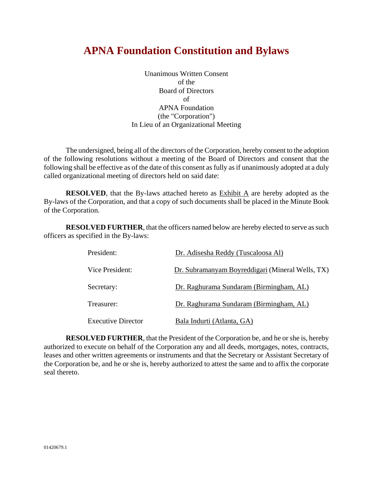# **APNA Foundation Constitution and Bylaws**

Unanimous Written Consent of the Board of Directors of APNA Foundation (the "Corporation") In Lieu of an Organizational Meeting

The undersigned, being all of the directors of the Corporation, hereby consent to the adoption of the following resolutions without a meeting of the Board of Directors and consent that the following shall be effective as of the date of this consent as fully as if unanimously adopted at a duly called organizational meeting of directors held on said date:

**RESOLVED**, that the By-laws attached hereto as Exhibit A are hereby adopted as the By-laws of the Corporation, and that a copy of such documents shall be placed in the Minute Book of the Corporation.

**RESOLVED FURTHER**, that the officers named below are hereby elected to serve as such officers as specified in the By-laws:

| President:                | Dr. Adisesha Reddy (Tuscaloosa Al)               |
|---------------------------|--------------------------------------------------|
| Vice President:           | Dr. Subramanyam Boyreddigari (Mineral Wells, TX) |
| Secretary:                | Dr. Raghurama Sundaram (Birmingham, AL)          |
| Treasurer:                | Dr. Raghurama Sundaram (Birmingham, AL)          |
| <b>Executive Director</b> | Bala Indurti (Atlanta, GA)                       |

**RESOLVED FURTHER**, that the President of the Corporation be, and he or she is, hereby authorized to execute on behalf of the Corporation any and all deeds, mortgages, notes, contracts, leases and other written agreements or instruments and that the Secretary or Assistant Secretary of the Corporation be, and he or she is, hereby authorized to attest the same and to affix the corporate seal thereto.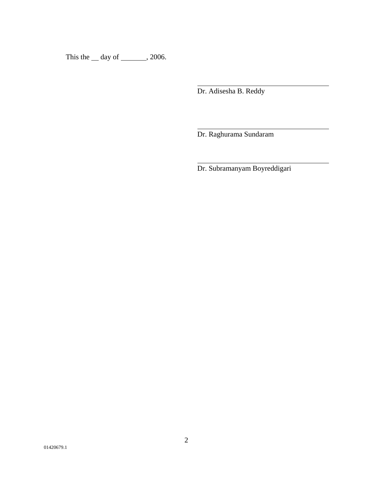This the  $\_\$  day of  $\_\_\_\_$ , 2006.

Dr. Adisesha B. Reddy

l

 $\overline{a}$ 

 $\overline{a}$ 

Dr. Raghurama Sundaram

Dr. Subramanyam Boyreddigari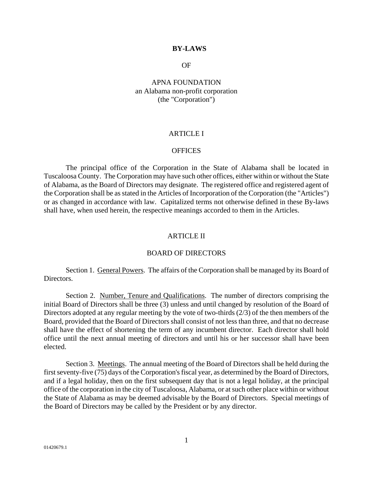#### **BY-LAWS**

#### OF

# APNA FOUNDATION an Alabama non-profit corporation (the "Corporation")

## ARTICLE I

# **OFFICES**

The principal office of the Corporation in the State of Alabama shall be located in Tuscaloosa County. The Corporation may have such other offices, either within or without the State of Alabama, as the Board of Directors may designate. The registered office and registered agent of the Corporation shall be as stated in the Articles of Incorporation of the Corporation (the "Articles") or as changed in accordance with law. Capitalized terms not otherwise defined in these By-laws shall have, when used herein, the respective meanings accorded to them in the Articles.

#### ARTICLE II

#### BOARD OF DIRECTORS

Section 1. General Powers. The affairs of the Corporation shall be managed by its Board of Directors.

Section 2. Number, Tenure and Qualifications. The number of directors comprising the initial Board of Directors shall be three (3) unless and until changed by resolution of the Board of Directors adopted at any regular meeting by the vote of two-thirds (2/3) of the then members of the Board, provided that the Board of Directors shall consist of not less than three, and that no decrease shall have the effect of shortening the term of any incumbent director. Each director shall hold office until the next annual meeting of directors and until his or her successor shall have been elected.

Section 3. Meetings. The annual meeting of the Board of Directors shall be held during the first seventy-five (75) days of the Corporation's fiscal year, as determined by the Board of Directors, and if a legal holiday, then on the first subsequent day that is not a legal holiday, at the principal office of the corporation in the city of Tuscaloosa, Alabama, or at such other place within or without the State of Alabama as may be deemed advisable by the Board of Directors. Special meetings of the Board of Directors may be called by the President or by any director.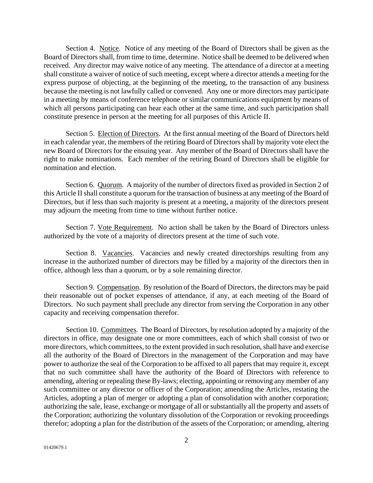Section 4. Notice. Notice of any meeting of the Board of Directors shall be given as the Board of Directors shall, from time to time, determine. Notice shall be deemed to be delivered when received. Any director may waive notice of any meeting. The attendance of a director at a meeting shall constitute a waiver of notice of such meeting, except where a director attends a meeting for the express purpose of objecting, at the beginning of the meeting, to the transaction of any business because the meeting is not lawfully called or convened. Any one or more directors may participate in a meeting by means of conference telephone or similar communications equipment by means of which all persons participating can hear each other at the same time, and such participation shall constitute presence in person at the meeting for all purposes of this Article II.

Section 5. Election of Directors. At the first annual meeting of the Board of Directors held in each calendar year, the members of the retiring Board of Directors shall by majority vote elect the new Board of Directors for the ensuing year. Any member of the Board of Directors shall have the right to make nominations. Each member of the retiring Board of Directors shall be eligible for nomination and election.

Section 6. Quorum. A majority of the number of directors fixed as provided in Section 2 of this Article II shall constitute a quorum for the transaction of business at any meeting of the Board of Directors, but if less than such majority is present at a meeting, a majority of the directors present may adjourn the meeting from time to time without further notice.

Section 7. Vote Requirement. No action shall be taken by the Board of Directors unless authorized by the vote of a majority of directors present at the time of such vote.

Section 8. Vacancies. Vacancies and newly created directorships resulting from any increase in the authorized number of directors may be filled by a majority of the directors then in office, although less than a quorum, or by a sole remaining director.

Section 9. Compensation. By resolution of the Board of Directors, the directors may be paid their reasonable out of pocket expenses of attendance, if any, at each meeting of the Board of Directors. No such payment shall preclude any director from serving the Corporation in any other capacity and receiving compensation therefor.

Section 10. Committees. The Board of Directors, by resolution adopted by a majority of the directors in office, may designate one or more committees, each of which shall consist of two or more directors, which committees, to the extent provided in such resolution, shall have and exercise all the authority of the Board of Directors in the management of the Corporation and may have power to authorize the seal of the Corporation to be affixed to all papers that may require it, except that no such committee shall have the authority of the Board of Directors with reference to amending, altering or repealing these By-laws; electing, appointing or removing any member of any such committee or any director or officer of the Corporation; amending the Articles, restating the Articles, adopting a plan of merger or adopting a plan of consolidation with another corporation; authorizing the sale, lease, exchange or mortgage of all or substantially all the property and assets of the Corporation; authorizing the voluntary dissolution of the Corporation or revoking proceedings therefor; adopting a plan for the distribution of the assets of the Corporation; or amending, altering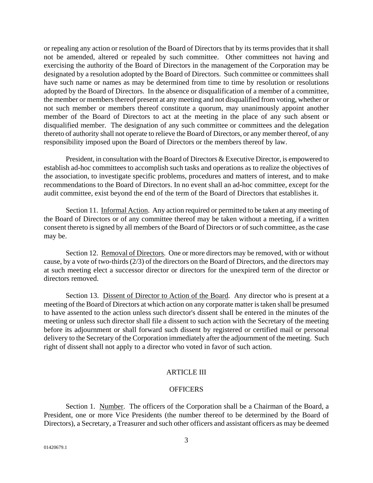or repealing any action or resolution of the Board of Directors that by its terms provides that it shall not be amended, altered or repealed by such committee. Other committees not having and exercising the authority of the Board of Directors in the management of the Corporation may be designated by a resolution adopted by the Board of Directors. Such committee or committees shall have such name or names as may be determined from time to time by resolution or resolutions adopted by the Board of Directors. In the absence or disqualification of a member of a committee, the member or members thereof present at any meeting and not disqualified from voting, whether or not such member or members thereof constitute a quorum, may unanimously appoint another member of the Board of Directors to act at the meeting in the place of any such absent or disqualified member. The designation of any such committee or committees and the delegation thereto of authority shall not operate to relieve the Board of Directors, or any member thereof, of any responsibility imposed upon the Board of Directors or the members thereof by law.

President, in consultation with the Board of Directors & Executive Director, is empowered to establish ad-hoc committees to accomplish such tasks and operations as to realize the objectives of the association, to investigate specific problems, procedures and matters of interest, and to make recommendations to the Board of Directors. In no event shall an ad-hoc committee, except for the audit committee, exist beyond the end of the term of the Board of Directors that establishes it.

Section 11. Informal Action. Any action required or permitted to be taken at any meeting of the Board of Directors or of any committee thereof may be taken without a meeting, if a written consent thereto is signed by all members of the Board of Directors or of such committee, as the case may be.

Section 12. Removal of Directors. One or more directors may be removed, with or without cause, by a vote of two-thirds (2/3) of the directors on the Board of Directors, and the directors may at such meeting elect a successor director or directors for the unexpired term of the director or directors removed.

Section 13. Dissent of Director to Action of the Board. Any director who is present at a meeting of the Board of Directors at which action on any corporate matter is taken shall be presumed to have assented to the action unless such director's dissent shall be entered in the minutes of the meeting or unless such director shall file a dissent to such action with the Secretary of the meeting before its adjournment or shall forward such dissent by registered or certified mail or personal delivery to the Secretary of the Corporation immediately after the adjournment of the meeting. Such right of dissent shall not apply to a director who voted in favor of such action.

# **ARTICLE III**

#### **OFFICERS**

Section 1. Number. The officers of the Corporation shall be a Chairman of the Board, a President, one or more Vice Presidents (the number thereof to be determined by the Board of Directors), a Secretary, a Treasurer and such other officers and assistant officers as may be deemed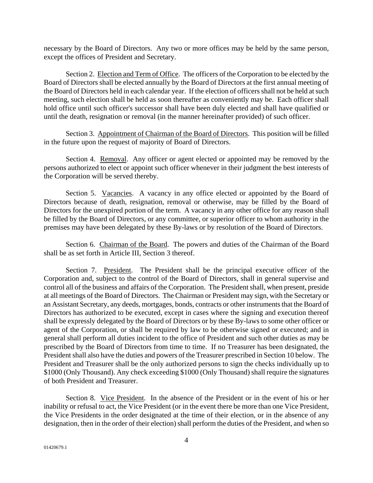necessary by the Board of Directors. Any two or more offices may be held by the same person, except the offices of President and Secretary.

Section 2. Election and Term of Office. The officers of the Corporation to be elected by the Board of Directors shall be elected annually by the Board of Directors at the first annual meeting of the Board of Directors held in each calendar year. If the election of officers shall not be held at such meeting, such election shall be held as soon thereafter as conveniently may be. Each officer shall hold office until such officer's successor shall have been duly elected and shall have qualified or until the death, resignation or removal (in the manner hereinafter provided) of such officer.

Section 3. Appointment of Chairman of the Board of Directors. This position will be filled in the future upon the request of majority of Board of Directors.

Section 4. Removal. Any officer or agent elected or appointed may be removed by the persons authorized to elect or appoint such officer whenever in their judgment the best interests of the Corporation will be served thereby.

Section 5. Vacancies. A vacancy in any office elected or appointed by the Board of Directors because of death, resignation, removal or otherwise, may be filled by the Board of Directors for the unexpired portion of the term. A vacancy in any other office for any reason shall be filled by the Board of Directors, or any committee, or superior officer to whom authority in the premises may have been delegated by these By-laws or by resolution of the Board of Directors.

Section 6. Chairman of the Board. The powers and duties of the Chairman of the Board shall be as set forth in Article III, Section 3 thereof.

Section 7. President. The President shall be the principal executive officer of the Corporation and, subject to the control of the Board of Directors, shall in general supervise and control all of the business and affairs of the Corporation. The President shall, when present, preside at all meetings of the Board of Directors. The Chairman or President may sign, with the Secretary or an Assistant Secretary, any deeds, mortgages, bonds, contracts or other instruments that the Board of Directors has authorized to be executed, except in cases where the signing and execution thereof shall be expressly delegated by the Board of Directors or by these By-laws to some other officer or agent of the Corporation, or shall be required by law to be otherwise signed or executed; and in general shall perform all duties incident to the office of President and such other duties as may be prescribed by the Board of Directors from time to time. If no Treasurer has been designated, the President shall also have the duties and powers of the Treasurer prescribed in Section 10 below. The President and Treasurer shall be the only authorized persons to sign the checks individually up to \$1000 (Only Thousand). Any check exceeding \$1000 (Only Thousand) shall require the signatures of both President and Treasurer.

Section 8. Vice President. In the absence of the President or in the event of his or her inability or refusal to act, the Vice President (or in the event there be more than one Vice President, the Vice Presidents in the order designated at the time of their election, or in the absence of any designation, then in the order of their election) shall perform the duties of the President, and when so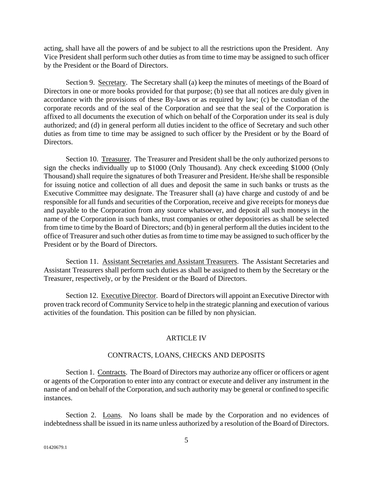acting, shall have all the powers of and be subject to all the restrictions upon the President. Any Vice President shall perform such other duties as from time to time may be assigned to such officer by the President or the Board of Directors.

Section 9. Secretary. The Secretary shall (a) keep the minutes of meetings of the Board of Directors in one or more books provided for that purpose; (b) see that all notices are duly given in accordance with the provisions of these By-laws or as required by law; (c) be custodian of the corporate records and of the seal of the Corporation and see that the seal of the Corporation is affixed to all documents the execution of which on behalf of the Corporation under its seal is duly authorized; and (d) in general perform all duties incident to the office of Secretary and such other duties as from time to time may be assigned to such officer by the President or by the Board of Directors.

Section 10. Treasurer. The Treasurer and President shall be the only authorized persons to sign the checks individually up to \$1000 (Only Thousand). Any check exceeding \$1000 (Only Thousand) shall require the signatures of both Treasurer and President. He/she shall be responsible for issuing notice and collection of all dues and deposit the same in such banks or trusts as the Executive Committee may designate. The Treasurer shall (a) have charge and custody of and be responsible for all funds and securities of the Corporation, receive and give receipts for moneys due and payable to the Corporation from any source whatsoever, and deposit all such moneys in the name of the Corporation in such banks, trust companies or other depositories as shall be selected from time to time by the Board of Directors; and (b) in general perform all the duties incident to the office of Treasurer and such other duties as from time to time may be assigned to such officer by the President or by the Board of Directors.

Section 11. Assistant Secretaries and Assistant Treasurers. The Assistant Secretaries and Assistant Treasurers shall perform such duties as shall be assigned to them by the Secretary or the Treasurer, respectively, or by the President or the Board of Directors.

Section 12. Executive Director. Board of Directors will appoint an Executive Director with proven track record of Community Service to help in the strategic planning and execution of various activities of the foundation. This position can be filled by non physician.

#### ARTICLE IV

# CONTRACTS, LOANS, CHECKS AND DEPOSITS

Section 1. Contracts. The Board of Directors may authorize any officer or officers or agent or agents of the Corporation to enter into any contract or execute and deliver any instrument in the name of and on behalf of the Corporation, and such authority may be general or confined to specific instances.

Section 2. Loans. No loans shall be made by the Corporation and no evidences of indebtedness shall be issued in its name unless authorized by a resolution of the Board of Directors.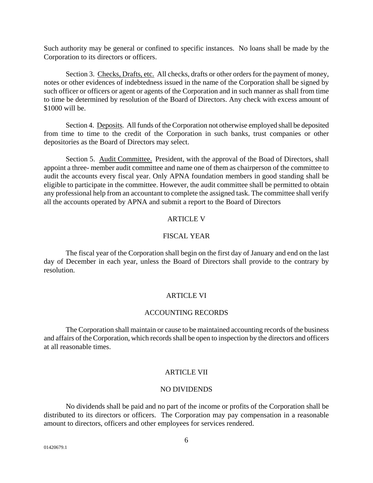Such authority may be general or confined to specific instances. No loans shall be made by the Corporation to its directors or officers.

Section 3. Checks, Drafts, etc. All checks, drafts or other orders for the payment of money, notes or other evidences of indebtedness issued in the name of the Corporation shall be signed by such officer or officers or agent or agents of the Corporation and in such manner as shall from time to time be determined by resolution of the Board of Directors. Any check with excess amount of \$1000 will be.

Section 4. Deposits. All funds of the Corporation not otherwise employed shall be deposited from time to time to the credit of the Corporation in such banks, trust companies or other depositories as the Board of Directors may select.

 Section 5. Audit Committee. President, with the approval of the Boad of Directors, shall appoint a three- member audit committee and name one of them as chairperson of the committee to audit the accounts every fiscal year. Only APNA foundation members in good standing shall be eligible to participate in the committee. However, the audit committee shall be permitted to obtain any professional help from an accountant to complete the assigned task. The committee shall verify all the accounts operated by APNA and submit a report to the Board of Directors

# ARTICLE V

## FISCAL YEAR

The fiscal year of the Corporation shall begin on the first day of January and end on the last day of December in each year, unless the Board of Directors shall provide to the contrary by resolution.

# ARTICLE VI

#### ACCOUNTING RECORDS

The Corporation shall maintain or cause to be maintained accounting records of the business and affairs of the Corporation, which records shall be open to inspection by the directors and officers at all reasonable times.

# **ARTICLE VII**

#### NO DIVIDENDS

No dividends shall be paid and no part of the income or profits of the Corporation shall be distributed to its directors or officers. The Corporation may pay compensation in a reasonable amount to directors, officers and other employees for services rendered.